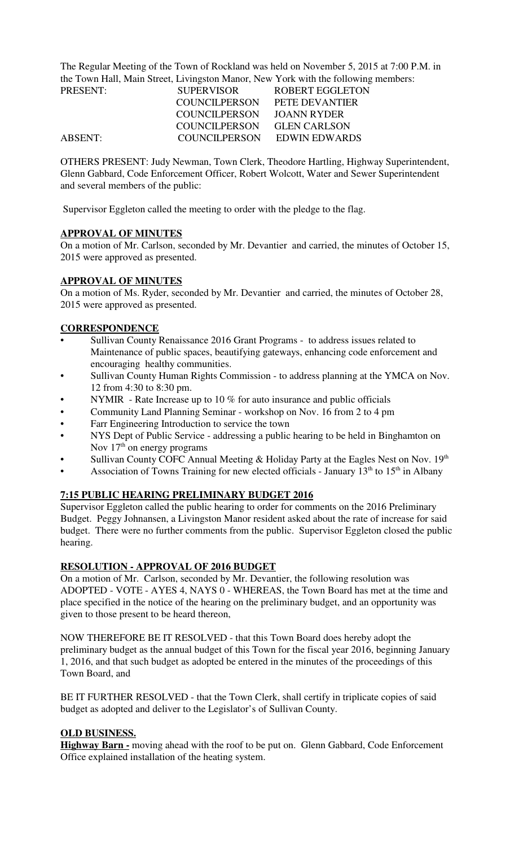The Regular Meeting of the Town of Rockland was held on November 5, 2015 at 7:00 P.M. in the Town Hall, Main Street, Livingston Manor, New York with the following members:

| <b>PRESENT:</b> | <b>SUPERVISOR</b> | ROBERT EGGLETON     |
|-----------------|-------------------|---------------------|
|                 | COUNCILPERSON     | PETE DEVANTIER      |
|                 | COUNCILPERSON     | JOANN RYDER         |
|                 | COUNCILPERSON     | <b>GLEN CARLSON</b> |
| <b>ABSENT:</b>  | COUNCILPERSON     | EDWIN EDWARDS       |

OTHERS PRESENT: Judy Newman, Town Clerk, Theodore Hartling, Highway Superintendent, Glenn Gabbard, Code Enforcement Officer, Robert Wolcott, Water and Sewer Superintendent and several members of the public:

Supervisor Eggleton called the meeting to order with the pledge to the flag.

## **APPROVAL OF MINUTES**

On a motion of Mr. Carlson, seconded by Mr. Devantier and carried, the minutes of October 15, 2015 were approved as presented.

### **APPROVAL OF MINUTES**

On a motion of Ms. Ryder, seconded by Mr. Devantier and carried, the minutes of October 28, 2015 were approved as presented.

## **CORRESPONDENCE**

- Sullivan County Renaissance 2016 Grant Programs to address issues related to Maintenance of public spaces, beautifying gateways, enhancing code enforcement and encouraging healthy communities.
- Sullivan County Human Rights Commission to address planning at the YMCA on Nov. 12 from 4:30 to 8:30 pm.
- NYMIR Rate Increase up to 10  $%$  for auto insurance and public officials
- Community Land Planning Seminar workshop on Nov. 16 from 2 to 4 pm
- Farr Engineering Introduction to service the town
- NYS Dept of Public Service addressing a public hearing to be held in Binghamton on Nov  $17<sup>th</sup>$  on energy programs
- Sullivan County COFC Annual Meeting  $&$  Holiday Party at the Eagles Nest on Nov. 19<sup>th</sup>
- Association of Towns Training for new elected officials January  $13<sup>th</sup>$  to  $15<sup>th</sup>$  in Albany

## **7:15 PUBLIC HEARING PRELIMINARY BUDGET 2016**

Supervisor Eggleton called the public hearing to order for comments on the 2016 Preliminary Budget. Peggy Johnansen, a Livingston Manor resident asked about the rate of increase for said budget. There were no further comments from the public. Supervisor Eggleton closed the public hearing.

### **RESOLUTION - APPROVAL OF 2016 BUDGET**

On a motion of Mr. Carlson, seconded by Mr. Devantier, the following resolution was ADOPTED - VOTE - AYES 4, NAYS 0 - WHEREAS, the Town Board has met at the time and place specified in the notice of the hearing on the preliminary budget, and an opportunity was given to those present to be heard thereon,

NOW THEREFORE BE IT RESOLVED - that this Town Board does hereby adopt the preliminary budget as the annual budget of this Town for the fiscal year 2016, beginning January 1, 2016, and that such budget as adopted be entered in the minutes of the proceedings of this Town Board, and

BE IT FURTHER RESOLVED - that the Town Clerk, shall certify in triplicate copies of said budget as adopted and deliver to the Legislator's of Sullivan County.

### **OLD BUSINESS.**

**Highway Barn -** moving ahead with the roof to be put on. Glenn Gabbard, Code Enforcement Office explained installation of the heating system.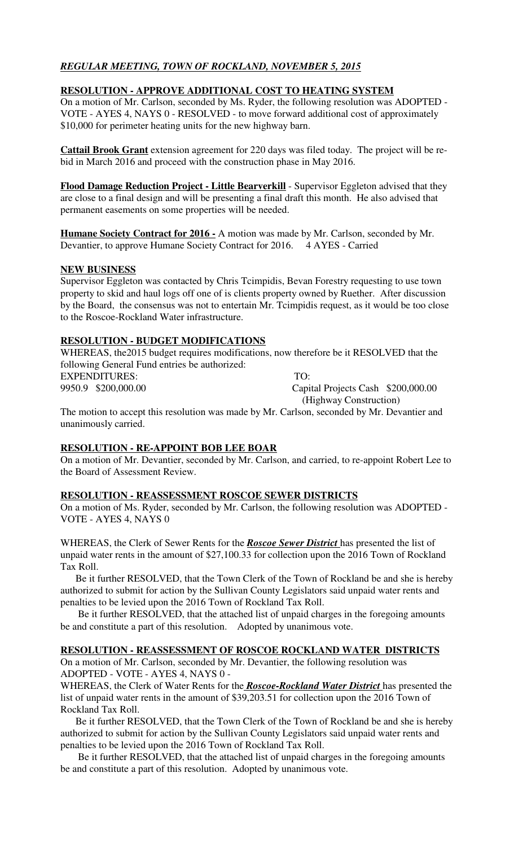# *REGULAR MEETING, TOWN OF ROCKLAND, NOVEMBER 5, 2015*

### **RESOLUTION - APPROVE ADDITIONAL COST TO HEATING SYSTEM**

On a motion of Mr. Carlson, seconded by Ms. Ryder, the following resolution was ADOPTED - VOTE - AYES 4, NAYS 0 - RESOLVED - to move forward additional cost of approximately \$10,000 for perimeter heating units for the new highway barn.

**Cattail Brook Grant** extension agreement for 220 days was filed today. The project will be rebid in March 2016 and proceed with the construction phase in May 2016.

**Flood Damage Reduction Project - Little Bearverkill** - Supervisor Eggleton advised that they are close to a final design and will be presenting a final draft this month. He also advised that permanent easements on some properties will be needed.

**Humane Society Contract for 2016 -** A motion was made by Mr. Carlson, seconded by Mr. Devantier, to approve Humane Society Contract for 2016. 4 AYES - Carried

### **NEW BUSINESS**

Supervisor Eggleton was contacted by Chris Tcimpidis, Bevan Forestry requesting to use town property to skid and haul logs off one of is clients property owned by Ruether. After discussion by the Board, the consensus was not to entertain Mr. Tcimpidis request, as it would be too close to the Roscoe-Rockland Water infrastructure.

## **RESOLUTION - BUDGET MODIFICATIONS**

WHEREAS, the2015 budget requires modifications, now therefore be it RESOLVED that the following General Fund entries be authorized:

EXPENDITURES: TO:

9950.9 \$200,000.00 Capital Projects Cash \$200,000.00 (Highway Construction)

The motion to accept this resolution was made by Mr. Carlson, seconded by Mr. Devantier and unanimously carried.

### **RESOLUTION - RE-APPOINT BOB LEE BOAR**

On a motion of Mr. Devantier, seconded by Mr. Carlson, and carried, to re-appoint Robert Lee to the Board of Assessment Review.

### **RESOLUTION - REASSESSMENT ROSCOE SEWER DISTRICTS**

On a motion of Ms. Ryder, seconded by Mr. Carlson, the following resolution was ADOPTED - VOTE - AYES 4, NAYS 0

WHEREAS, the Clerk of Sewer Rents for the *Roscoe Sewer District* has presented the list of unpaid water rents in the amount of \$27,100.33 for collection upon the 2016 Town of Rockland Tax Roll.

 Be it further RESOLVED, that the Town Clerk of the Town of Rockland be and she is hereby authorized to submit for action by the Sullivan County Legislators said unpaid water rents and penalties to be levied upon the 2016 Town of Rockland Tax Roll.

 Be it further RESOLVED, that the attached list of unpaid charges in the foregoing amounts be and constitute a part of this resolution. Adopted by unanimous vote.

### **RESOLUTION - REASSESSMENT OF ROSCOE ROCKLAND WATER DISTRICTS**

On a motion of Mr. Carlson, seconded by Mr. Devantier, the following resolution was ADOPTED - VOTE - AYES 4, NAYS 0 -

WHEREAS, the Clerk of Water Rents for the *Roscoe-Rockland Water District* has presented the list of unpaid water rents in the amount of \$39,203.51 for collection upon the 2016 Town of Rockland Tax Roll.

 Be it further RESOLVED, that the Town Clerk of the Town of Rockland be and she is hereby authorized to submit for action by the Sullivan County Legislators said unpaid water rents and penalties to be levied upon the 2016 Town of Rockland Tax Roll.

 Be it further RESOLVED, that the attached list of unpaid charges in the foregoing amounts be and constitute a part of this resolution. Adopted by unanimous vote.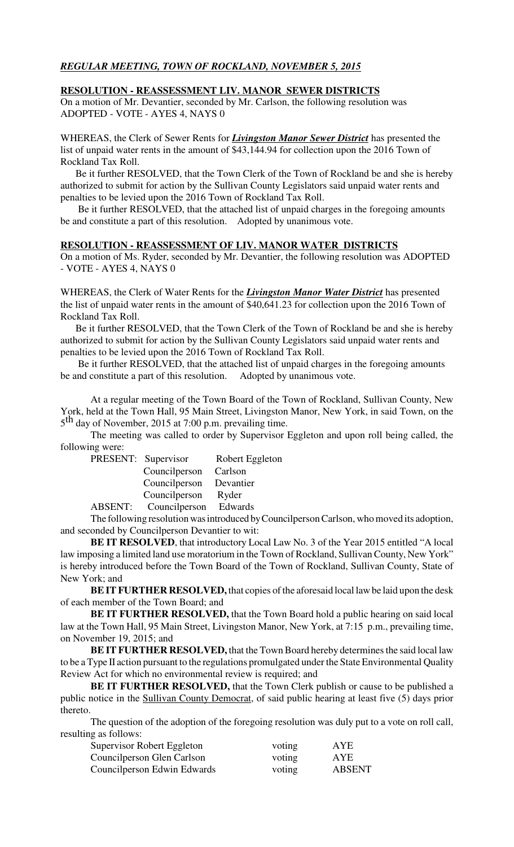## *REGULAR MEETING, TOWN OF ROCKLAND, NOVEMBER 5, 2015*

#### **RESOLUTION - REASSESSMENT LIV. MANOR SEWER DISTRICTS**

On a motion of Mr. Devantier, seconded by Mr. Carlson, the following resolution was ADOPTED - VOTE - AYES 4, NAYS 0

WHEREAS, the Clerk of Sewer Rents for *Livingston Manor Sewer District* has presented the list of unpaid water rents in the amount of \$43,144.94 for collection upon the 2016 Town of Rockland Tax Roll.

 Be it further RESOLVED, that the Town Clerk of the Town of Rockland be and she is hereby authorized to submit for action by the Sullivan County Legislators said unpaid water rents and penalties to be levied upon the 2016 Town of Rockland Tax Roll.

 Be it further RESOLVED, that the attached list of unpaid charges in the foregoing amounts be and constitute a part of this resolution. Adopted by unanimous vote.

#### **RESOLUTION - REASSESSMENT OF LIV. MANOR WATER DISTRICTS**

On a motion of Ms. Ryder, seconded by Mr. Devantier, the following resolution was ADOPTED - VOTE - AYES 4, NAYS 0

WHEREAS, the Clerk of Water Rents for the *Livingston Manor Water District* has presented the list of unpaid water rents in the amount of \$40,641.23 for collection upon the 2016 Town of Rockland Tax Roll.

 Be it further RESOLVED, that the Town Clerk of the Town of Rockland be and she is hereby authorized to submit for action by the Sullivan County Legislators said unpaid water rents and penalties to be levied upon the 2016 Town of Rockland Tax Roll.

 Be it further RESOLVED, that the attached list of unpaid charges in the foregoing amounts be and constitute a part of this resolution. Adopted by unanimous vote.

At a regular meeting of the Town Board of the Town of Rockland, Sullivan County, New York, held at the Town Hall, 95 Main Street, Livingston Manor, New York, in said Town, on the 5<sup>th</sup> day of November, 2015 at 7:00 p.m. prevailing time.

The meeting was called to order by Supervisor Eggleton and upon roll being called, the following were:

| PRESENT: Supervisor           | Robert Eggleton |
|-------------------------------|-----------------|
| Councilperson Carlson         |                 |
| Councilperson Devantier       |                 |
| Councilperson                 | Ryder           |
| ABSENT: Councilperson Edwards |                 |

The following resolution was introduced by Councilperson Carlson, who moved its adoption, and seconded by Councilperson Devantier to wit:

**BE IT RESOLVED**, that introductory Local Law No. 3 of the Year 2015 entitled "A local law imposing a limited land use moratorium in the Town of Rockland, Sullivan County, New York" is hereby introduced before the Town Board of the Town of Rockland, Sullivan County, State of New York; and

**BE IT FURTHER RESOLVED,** that copies of the aforesaid local law be laid upon the desk of each member of the Town Board; and

**BE IT FURTHER RESOLVED,** that the Town Board hold a public hearing on said local law at the Town Hall, 95 Main Street, Livingston Manor, New York, at 7:15 p.m., prevailing time, on November 19, 2015; and

**BE IT FURTHER RESOLVED,** that the Town Board hereby determines the said local law to be a Type II action pursuant to the regulations promulgated under the State Environmental Quality Review Act for which no environmental review is required; and

**BE IT FURTHER RESOLVED,** that the Town Clerk publish or cause to be published a public notice in the Sullivan County Democrat, of said public hearing at least five (5) days prior thereto.

The question of the adoption of the foregoing resolution was duly put to a vote on roll call, resulting as follows:

| Supervisor Robert Eggleton  | voting | <b>AYE</b>    |
|-----------------------------|--------|---------------|
| Councilperson Glen Carlson  | voting | <b>AYE</b>    |
| Councilperson Edwin Edwards | voting | <b>ABSENT</b> |